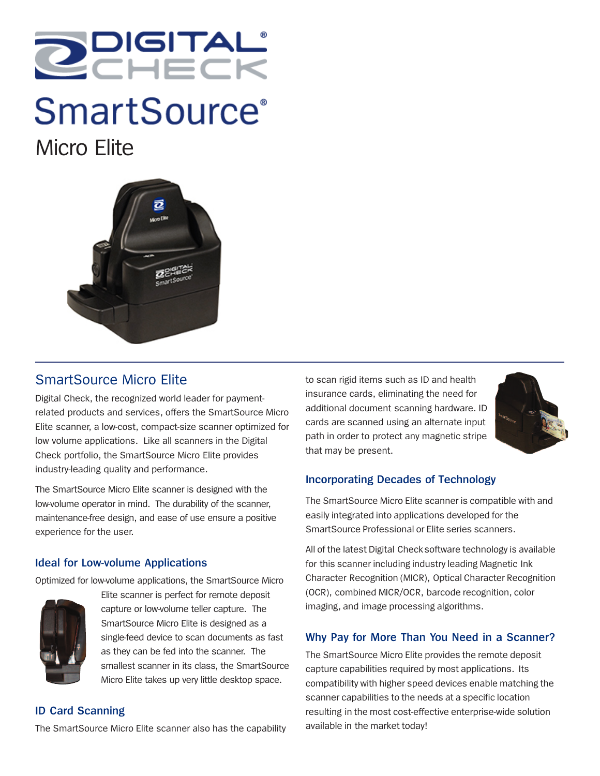

# **SmartSource**<sup>®</sup> Micro Elite



# SmartSource Micro Elite

Digital Check, the recognized world leader for paymentrelated products and services, offers the SmartSource Micro Elite scanner, a low-cost, compact-size scanner optimized for low volume applications. Like all scanners in the Digital Check portfolio, the SmartSource Micro Elite provides industry-leading quality and performance.

The SmartSource Micro Elite scanner is designed with the low-volume operator in mind. The durability of the scanner, maintenance-free design, and ease of use ensure a positive experience for the user.

# **Ideal for Low-volume Applications**

Optimized for low-volume applications, the SmartSource Micro



Elite scanner is perfect for remote deposit capture or low-volume teller capture. The SmartSource Micro Elite is designed as a single-feed device to scan documents as fast as they can be fed into the scanner. The smallest scanner in its class, the SmartSource Micro Elite takes up very little desktop space.

# **ID Card Scanning**

The SmartSource Micro Elite scanner also has the capability

to scan rigid items such as ID and health insurance cards, eliminating the need for additional document scanning hardware. ID cards are scanned using an alternate input path in order to protect any magnetic stripe that may be present.



# **Incorporating Decades of Technology**

The SmartSource Micro Elite scanner is compatible with and easily integrated into applications developed for the SmartSource Professional or Elite series scanners.

All of the latest Digital Checksoftware technology is available for this scanner including industry leading Magnetic Ink Character Recognition (MICR), Optical Character Recognition (OCR), combined MICR/OCR, barcode recognition, color imaging, and image processing algorithms.

# **Why Pay for More Than You Need in a Scanner?**

The SmartSource Micro Elite provides the remote deposit capture capabilities required by most applications. Its compatibility with higher speed devices enable matching the scanner capabilities to the needs at a specific location resulting in the most cost-effective enterprise-wide solution available in the market today!